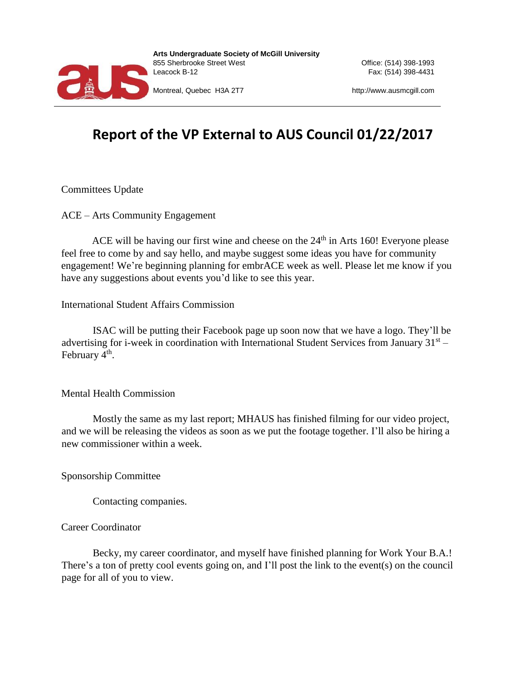

**Arts Undergraduate Society of McGill University**  855 Sherbrooke Street West Office: (514) 398-1993 Leacock B-12 Fax: (514) 398-4431

Montreal, Quebec H3A 2T7 http://www.ausmcgill.com

## **Report of the VP External to AUS Council 01/22/2017**

Committees Update

ACE – Arts Community Engagement

ACE will be having our first wine and cheese on the  $24<sup>th</sup>$  in Arts 160! Everyone please feel free to come by and say hello, and maybe suggest some ideas you have for community engagement! We're beginning planning for embrACE week as well. Please let me know if you have any suggestions about events you'd like to see this year.

International Student Affairs Commission

ISAC will be putting their Facebook page up soon now that we have a logo. They'll be advertising for i-week in coordination with International Student Services from January  $31<sup>st</sup>$ February 4<sup>th</sup>.

Mental Health Commission

Mostly the same as my last report; MHAUS has finished filming for our video project, and we will be releasing the videos as soon as we put the footage together. I'll also be hiring a new commissioner within a week.

Sponsorship Committee

Contacting companies.

## Career Coordinator

Becky, my career coordinator, and myself have finished planning for Work Your B.A.! There's a ton of pretty cool events going on, and I'll post the link to the event(s) on the council page for all of you to view.